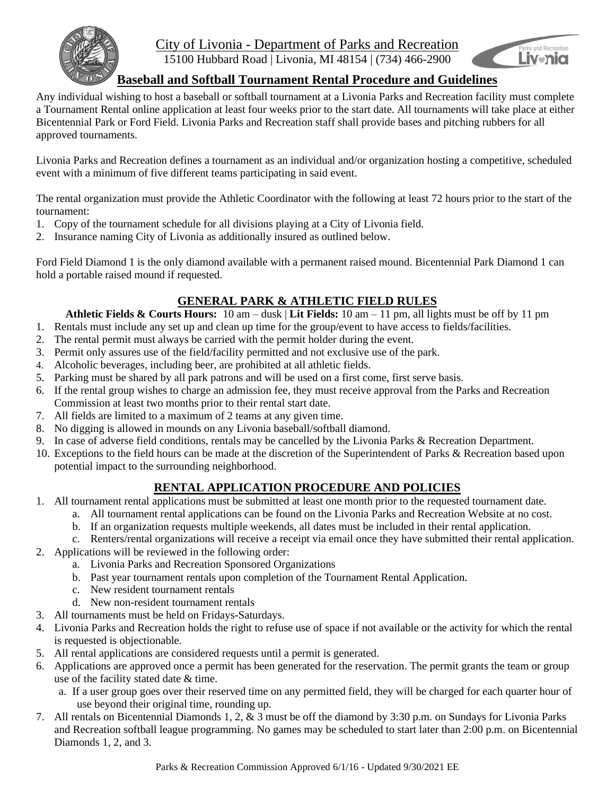

### City of Livonia - Department of Parks and Recreation 15100 Hubbard Road | Livonia, MI 48154 | (734) 466-2900



## **Baseball and Softball Tournament Rental Procedure and Guidelines**

Any individual wishing to host a baseball or softball tournament at a Livonia Parks and Recreation facility must complete a Tournament Rental online application at least four weeks prior to the start date. All tournaments will take place at either Bicentennial Park or Ford Field. Livonia Parks and Recreation staff shall provide bases and pitching rubbers for all approved tournaments.

Livonia Parks and Recreation defines a tournament as an individual and/or organization hosting a competitive, scheduled event with a minimum of five different teams participating in said event.

The rental organization must provide the Athletic Coordinator with the following at least 72 hours prior to the start of the tournament:

- 1. Copy of the tournament schedule for all divisions playing at a City of Livonia field.
- 2. Insurance naming City of Livonia as additionally insured as outlined below.

Ford Field Diamond 1 is the only diamond available with a permanent raised mound. Bicentennial Park Diamond 1 can hold a portable raised mound if requested.

# **GENERAL PARK & ATHLETIC FIELD RULES**

**Athletic Fields & Courts Hours:** 10 am – dusk | **Lit Fields:** 10 am – 11 pm, all lights must be off by 11 pm

- 1. Rentals must include any set up and clean up time for the group/event to have access to fields/facilities.
- 2. The rental permit must always be carried with the permit holder during the event.
- 3. Permit only assures use of the field/facility permitted and not exclusive use of the park.
- 4. Alcoholic beverages, including beer, are prohibited at all athletic fields.
- 5. Parking must be shared by all park patrons and will be used on a first come, first serve basis.
- 6. If the rental group wishes to charge an admission fee, they must receive approval from the Parks and Recreation Commission at least two months prior to their rental start date.
- 7. All fields are limited to a maximum of 2 teams at any given time.
- 8. No digging is allowed in mounds on any Livonia baseball/softball diamond.
- 9. In case of adverse field conditions, rentals may be cancelled by the Livonia Parks & Recreation Department.
- 10. Exceptions to the field hours can be made at the discretion of the Superintendent of Parks & Recreation based upon potential impact to the surrounding neighborhood.

## **RENTAL APPLICATION PROCEDURE AND POLICIES**

- 1. All tournament rental applications must be submitted at least one month prior to the requested tournament date.
	- a. All tournament rental applications can be found on the Livonia Parks and Recreation Website at no cost.
	- b. If an organization requests multiple weekends, all dates must be included in their rental application.
	- c. Renters/rental organizations will receive a receipt via email once they have submitted their rental application.
- 2. Applications will be reviewed in the following order:
	- a. Livonia Parks and Recreation Sponsored Organizations
	- b. Past year tournament rentals upon completion of the Tournament Rental Application.
	- c. New resident tournament rentals
	- d. New non-resident tournament rentals
- 3. All tournaments must be held on Fridays-Saturdays.
- 4. Livonia Parks and Recreation holds the right to refuse use of space if not available or the activity for which the rental is requested is objectionable.
- 5. All rental applications are considered requests until a permit is generated.
- 6. Applications are approved once a permit has been generated for the reservation. The permit grants the team or group use of the facility stated date & time.
	- a. If a user group goes over their reserved time on any permitted field, they will be charged for each quarter hour of use beyond their original time, rounding up.
- 7. All rentals on Bicentennial Diamonds 1, 2, & 3 must be off the diamond by 3:30 p.m. on Sundays for Livonia Parks and Recreation softball league programming. No games may be scheduled to start later than 2:00 p.m. on Bicentennial Diamonds 1, 2, and 3.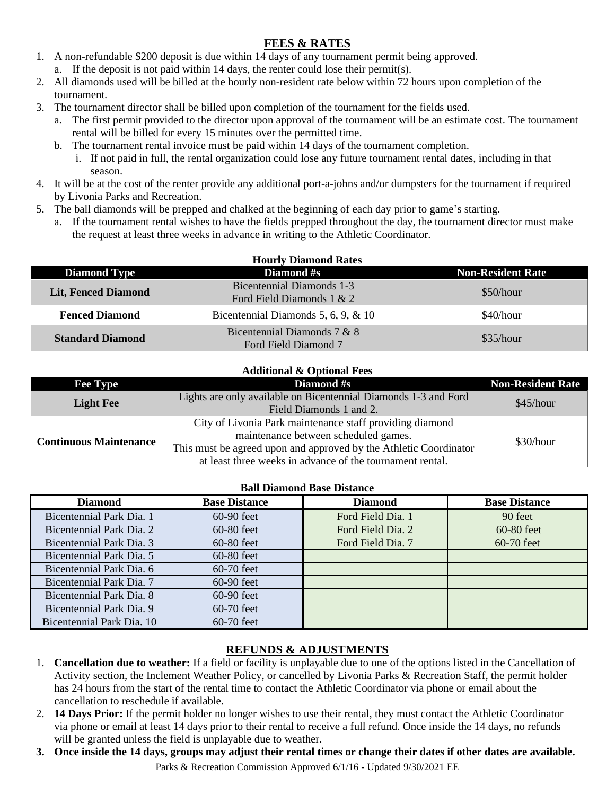## **FEES & RATES**

- 1. A non-refundable \$200 deposit is due within 14 days of any tournament permit being approved.
	- a. If the deposit is not paid within 14 days, the renter could lose their permit(s).
- 2. All diamonds used will be billed at the hourly non-resident rate below within 72 hours upon completion of the tournament.
- 3. The tournament director shall be billed upon completion of the tournament for the fields used.
	- a. The first permit provided to the director upon approval of the tournament will be an estimate cost. The tournament rental will be billed for every 15 minutes over the permitted time.
	- b. The tournament rental invoice must be paid within 14 days of the tournament completion.
		- i. If not paid in full, the rental organization could lose any future tournament rental dates, including in that season.
- 4. It will be at the cost of the renter provide any additional port-a-johns and/or dumpsters for the tournament if required by Livonia Parks and Recreation.
- 5. The ball diamonds will be prepped and chalked at the beginning of each day prior to game's starting.
	- a. If the tournament rental wishes to have the fields prepped throughout the day, the tournament director must make the request at least three weeks in advance in writing to the Athletic Coordinator.

| <b>Hourly Diamond Rates</b> |                                                               |                          |  |  |  |
|-----------------------------|---------------------------------------------------------------|--------------------------|--|--|--|
| <b>Diamond Type</b>         | <b>Diamond</b> #s                                             | <b>Non-Resident Rate</b> |  |  |  |
| <b>Lit, Fenced Diamond</b>  | <b>Bicentennial Diamonds 1-3</b><br>Ford Field Diamonds 1 & 2 | \$50/hour                |  |  |  |
| <b>Fenced Diamond</b>       | Bicentennial Diamonds 5, 6, 9, $\&$ 10                        | \$40/hour                |  |  |  |
| <b>Standard Diamond</b>     | Bicentennial Diamonds 7 & 8<br>Ford Field Diamond 7           | \$35/hour                |  |  |  |

## **Additional & Optional Fees**

| <b>Fee Type</b>               | Diamond #s                                                        | <b>Non-Resident Rate</b> |  |
|-------------------------------|-------------------------------------------------------------------|--------------------------|--|
| <b>Light Fee</b>              | Lights are only available on Bicentennial Diamonds 1-3 and Ford   | \$45/hour                |  |
|                               | Field Diamonds 1 and 2.                                           |                          |  |
| <b>Continuous Maintenance</b> | City of Livonia Park maintenance staff providing diamond          |                          |  |
|                               | maintenance between scheduled games.                              | \$30/hour                |  |
|                               | This must be agreed upon and approved by the Athletic Coordinator |                          |  |
|                               | at least three weeks in advance of the tournament rental.         |                          |  |

#### **Ball Diamond Base Distance**

| <b>Diamond</b>            | <b>Base Distance</b> | <b>Diamond</b>    | <b>Base Distance</b> |
|---------------------------|----------------------|-------------------|----------------------|
| Bicentennial Park Dia. 1  | $60-90$ feet         | Ford Field Dia. 1 | 90 feet              |
| Bicentennial Park Dia. 2  | 60-80 feet           | Ford Field Dia. 2 | 60-80 feet           |
| Bicentennial Park Dia. 3  | $60-80$ feet         | Ford Field Dia. 7 | $60-70$ feet         |
| Bicentennial Park Dia, 5  | $60-80$ feet         |                   |                      |
| Bicentennial Park Dia. 6  | $60-70$ feet         |                   |                      |
| Bicentennial Park Dia, 7  | $60-90$ feet         |                   |                      |
| Bicentennial Park Dia. 8  | $60-90$ feet         |                   |                      |
| Bicentennial Park Dia. 9  | $60-70$ feet         |                   |                      |
| Bicentennial Park Dia. 10 | $60-70$ feet         |                   |                      |

# **REFUNDS & ADJUSTMENTS**

- 1. **Cancellation due to weather:** If a field or facility is unplayable due to one of the options listed in the Cancellation of Activity section, the Inclement Weather Policy, or cancelled by Livonia Parks & Recreation Staff, the permit holder has 24 hours from the start of the rental time to contact the Athletic Coordinator via phone or email about the cancellation to reschedule if available.
- 2. **14 Days Prior:** If the permit holder no longer wishes to use their rental, they must contact the Athletic Coordinator via phone or email at least 14 days prior to their rental to receive a full refund. Once inside the 14 days, no refunds will be granted unless the field is unplayable due to weather.
- **3. Once inside the 14 days, groups may adjust their rental times or change their dates if other dates are available.**

Parks & Recreation Commission Approved 6/1/16 - Updated 9/30/2021 EE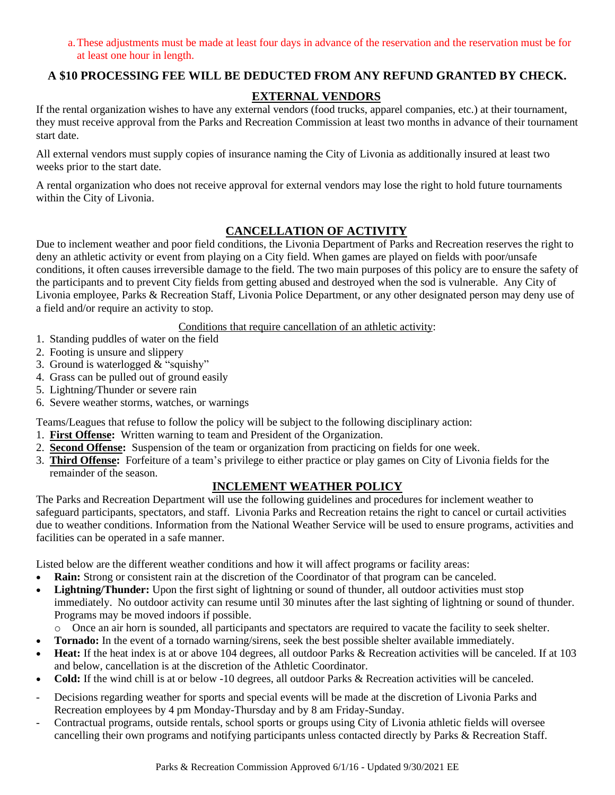a.These adjustments must be made at least four days in advance of the reservation and the reservation must be for at least one hour in length.

### **A \$10 PROCESSING FEE WILL BE DEDUCTED FROM ANY REFUND GRANTED BY CHECK.**

## **EXTERNAL VENDORS**

If the rental organization wishes to have any external vendors (food trucks, apparel companies, etc.) at their tournament, they must receive approval from the Parks and Recreation Commission at least two months in advance of their tournament start date.

All external vendors must supply copies of insurance naming the City of Livonia as additionally insured at least two weeks prior to the start date.

A rental organization who does not receive approval for external vendors may lose the right to hold future tournaments within the City of Livonia.

#### **CANCELLATION OF ACTIVITY**

Due to inclement weather and poor field conditions, the Livonia Department of Parks and Recreation reserves the right to deny an athletic activity or event from playing on a City field. When games are played on fields with poor/unsafe conditions, it often causes irreversible damage to the field. The two main purposes of this policy are to ensure the safety of the participants and to prevent City fields from getting abused and destroyed when the sod is vulnerable. Any City of Livonia employee, Parks & Recreation Staff, Livonia Police Department, or any other designated person may deny use of a field and/or require an activity to stop.

Conditions that require cancellation of an athletic activity:

- 1. Standing puddles of water on the field
- 2. Footing is unsure and slippery
- 3. Ground is waterlogged  $\&mathbf{\hat{x}}$  "squishy"
- 4. Grass can be pulled out of ground easily
- 5. Lightning/Thunder or severe rain
- 6. Severe weather storms, watches, or warnings

Teams/Leagues that refuse to follow the policy will be subject to the following disciplinary action:

- 1. **First Offense:** Written warning to team and President of the Organization.
- 2. **Second Offense:** Suspension of the team or organization from practicing on fields for one week.
- 3. **Third Offense:** Forfeiture of a team's privilege to either practice or play games on City of Livonia fields for the remainder of the season.

#### **INCLEMENT WEATHER POLICY**

The Parks and Recreation Department will use the following guidelines and procedures for inclement weather to safeguard participants, spectators, and staff. Livonia Parks and Recreation retains the right to cancel or curtail activities due to weather conditions. Information from the National Weather Service will be used to ensure programs, activities and facilities can be operated in a safe manner.

Listed below are the different weather conditions and how it will affect programs or facility areas:

- **Rain:** Strong or consistent rain at the discretion of the Coordinator of that program can be canceled.
- **Lightning/Thunder:** Upon the first sight of lightning or sound of thunder, all outdoor activities must stop immediately. No outdoor activity can resume until 30 minutes after the last sighting of lightning or sound of thunder. Programs may be moved indoors if possible.

o Once an air horn is sounded, all participants and spectators are required to vacate the facility to seek shelter.

- **Tornado:** In the event of a tornado warning/sirens, seek the best possible shelter available immediately.
- **Heat:** If the heat index is at or above 104 degrees, all outdoor Parks & Recreation activities will be canceled. If at 103 and below, cancellation is at the discretion of the Athletic Coordinator.
- **Cold:** If the wind chill is at or below -10 degrees, all outdoor Parks & Recreation activities will be canceled.
- Decisions regarding weather for sports and special events will be made at the discretion of Livonia Parks and Recreation employees by 4 pm Monday-Thursday and by 8 am Friday-Sunday.
- Contractual programs, outside rentals, school sports or groups using City of Livonia athletic fields will oversee cancelling their own programs and notifying participants unless contacted directly by Parks & Recreation Staff.